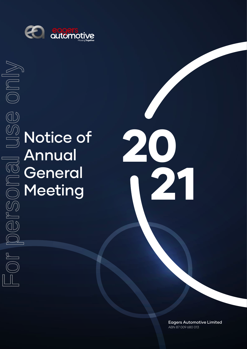

# **B**<br> **Motice of** Annual **General** Meeting

20 21

> Eagers Automotive Limited ABN 87 009 680 013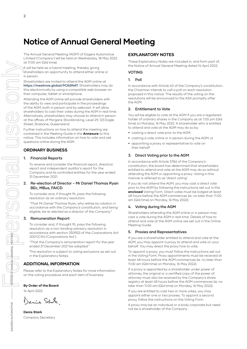## **Notice of Annual General Meeting**

The Annual General Meeting ('AGM') of Eagers Automotive Limited ('Company') will be held on Wednesday, 18 May 2022 at 11:00 am (Qld time).

It will be held as a hybrid meeting, thereby giving shareholders an opportunity to attend either online or in person.

Shareholders are invited to attend the AGM online at https://meetnow.global/MJ65NAT. Shareholders may do this electronically by using a compatible web browser on their computer, tablet or smartphone.

Attending the AGM online will provide shareholders with the ability to view and participate in the proceedings of the AGM, both in person and by webcast. It will allow shareholders to cast their votes during the AGM in real time. Alternatively, shareholders may choose to attend in person at the offices of Morgans Stockbroking, Level 29, 123 Eagle Street, Brisbane, Queensland.

Further instructions on how to attend the meeting are contained in the Meeting Guide in the **Annexure** to this notice. This includes information on how to vote and ask questions online during the AGM.

#### **ORDINARY BUSINESS**

#### 1. Financial Reports

To receive and consider the financial report, directors' report and independent auditor's report for the Company and its controlled entities for the year ended 31 December 2021.

#### 2. Re-election of Director – Mr Daniel Thomas Ryan BEc, MBus, FAICD

To consider and, if thought fit, pass the following resolution as an ordinary resolution:

"That Mr Daniel Thomas Ryan, who retires by rotation in accordance with the Company's constitution, and being eligible, be re-elected as a director of the Company."

#### 3. Remuneration Report

To consider and, if thought fit, pass the following resolution as a non-binding advisory resolution in accordance with section 250R(2) of the Corporations Act 2001 (Cth) ('Corporations Act'):

"That the Company's remuneration report for the year ended 31 December 2021 be adopted."

This resolution is subject to voting exclusions as set out in the Explanatory Notes.

#### **ADDITIONAL INFORMATION**

Please refer to the Explanatory Notes for more information on the voting procedure and each item of business.

#### **By Order of the Board**

14 April 2022

Denis Sple.

**Denis Stark** Company Secretary

#### **EXPLANATORY NOTES**

These Explanatory Notes are included in, and form part of, the Notice of Annual General Meeting dated 14 April 2022.

#### VOTING

#### 1. Poll

In accordance with Article 40 of the Company's constitution, the Chairman intends to call a poll on each resolution proposed in this notice. The results of the voting on the resolutions will be announced to the ASX promptly after the AGM.

#### 2. Entitlement to Vote

You will be eligible to vote at the AGM if you are a registered holder of ordinary shares in the Company as at 7.00 pm (Qld time) on Monday, 16 May 2022. A shareholder who is entitled to attend and vote at the AGM may do so by:

- **•** casting a direct vote prior to the AGM;
- **•** casting a vote online or in person during the AGM; or
- **•** appointing a proxy or representative to vote on their behalf.

#### 3. Direct Voting prior to the AGM

In accordance with Article 37(b) of the Company's constitution, the board has determined that shareholders entitled to attend and vote at the AGM may do so without attending the AGM or appointing a proxy. Voting in this manner is referred to as 'direct voting'.

If you do not attend the AGM, you may cast a direct vote prior to the AGM by following the instructions set out in the **enclosed** Voting Form. Direct votes must be lodged at least 48 hours before the AGM commences (ie. no later than 11.00 am (Qld time) on Monday, 16 May 2022).

#### 4. Voting during the AGM

Shareholders attending the AGM online or in person may cast a vote during the AGM in real time. Details of how to attend and vote at the AGM online are set out in the Online Meeting Guide.

#### 5. Proxies and Representatives

If you are a shareholder entitled to attend and vote at the AGM, you may appoint a proxy to attend and vote on your behalf. You may direct the proxy how to vote.

To appoint a proxy, you must follow the instructions set out in the Voting Form. Proxy appointments must be received at least 48 hours before the AGM commences (ie. no later than 11.00 am (Qld time) on Monday, 16 May 2022).

If a proxy is appointed by a shareholder under power of attorney, the original or a certified copy of the power of attorney must also be received by the Company's share registry at least 48 hours before the AGM commences (ie. no later than 11.00 am (Qld time) on Monday, 16 May 2022).

If you are entitled to cast two or more votes, you may appoint either one or two proxies. To appoint a second proxy, follow the instructions on the Voting Form.

A proxy may be an individual or a body corporate but need not be a shareholder of the Company.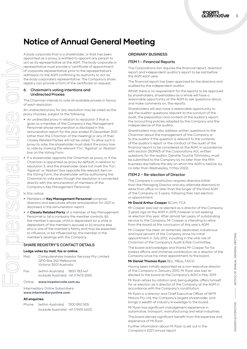## **Notice of Annual General Meeting**

A body corporate that is a shareholder, or that has been appointed as a proxy, is entitled to appoint any person to act as its representative at the AGM. The body corporate or representative must provide a 'certificate of appointment of corporate representative' prior to the representative's admission to the AGM confirming its authority to act as the body corporate's representative. The Company's share registry can provide a form of the certificate on request.

#### 6. Chairman's voting intentions and Undirected Proxies

The Chairman intends to vote all available proxies in favour of each resolution.

An undirected proxy for any resolution may be voted as the proxy chooses, subject to the following:

- **•** An undirected proxy in relation to resolution 3 that is given to a member of the Company's Key Management Personnel whose remuneration is disclosed in the remuneration report for the year ended 31 December 2021 (other than the Chairman of the meeting) or any of their Closely Related Parties will not be voted. To allow such a proxy to vote, the shareholder must direct the proxy how to vote by marking the relevant 'For', 'Against' or 'Abstain' box on the Voting Form.
- **•** If a shareholder appoints the Chairman as proxy, or if the Chairman is appointed as proxy by default, in relation to resolution 3, and the shareholder does not mark the 'For', 'Against' or 'Abstain' box opposite the relevant item on the Voting Form, the shareholder will be authorising the Chairman to vote even though the resolution is connected directly with the remuneration of members of the Company's Key Management Personnel.

In this notice:

- **•** Members of **Key Management Personnel** comprise directors and executives whose remuneration for 2021 is disclosed in the remuneration report.
- **•** A **Closely Related Party** of a member of Key Management Personnel is: (a) a company the member controls, (b) the member's spouse, child or dependant (or a child or dependant of the member's spouse) or (c) anyone else who is one of the member's family and may be expected to influence, or be influenced by, the member in the member's dealings with the Company.

#### SHARE REGISTRY'S CONTACT DETAILS

#### **Lodge votes by mail, fax or online:**

| Mail: | Computershare Investor Services Pty Limited |
|-------|---------------------------------------------|
|       | GPO Box 242 Melbourne                       |
|       | Victoria 3001 Australia                     |
|       |                                             |

| Fax: | (within Australia)                  | 1800 783 447 |
|------|-------------------------------------|--------------|
|      | (outside Australia) +61 3 9473 2555 |              |

#### Online: www.investorvote.com.au

Intermediary Online Subscribers: www.intermediaryonline.com

#### **All enquiries:**

| Phone: | (within Australia)                  | 1300 850 505 |
|--------|-------------------------------------|--------------|
|        | (outside Australia) +61 3 9415 4000 |              |

#### ORDINARY BUSINESS

#### ITEM 1 – Financial Reports

The Corporations Act requires the financial report, directors' report and independent auditor's report to be laid before the AGM each year.

The financial report has been approved by the directors and audited by the independent auditor.

Whilst there is no requirement for the reports to be approved by shareholders, shareholders as a whole will have a reasonable opportunity at the AGM to ask questions about, and make comments on, the reports.

Shareholders will also have a reasonable opportunity to ask the auditor questions relevant to the conduct of the audit, the preparation and content of the auditor's report, the accounting policies adopted by the Company and the independence of the auditor.

Shareholders may also address written questions to the Chairman about the management of the Company or to the auditor if the question is relevant to the contents of the auditor's report or the conduct of the audit of the financial report to be considered at the AGM. In accordance with section 250PA(1) of the Corporations Act, written questions for the auditor, Deloitte Touche Tohmatsu, must be submitted to the Company by no later than the fifth business day before the day on which the AGM is held (ie. by no later than Wednesday, 11 May 2022).

#### ITEM 2 – Re-election of Director

The Company's constitution requires directors (other than the Managing Director and any alternate directors) to retire from office no later than the longer of the third AGM of the Company or 3 years, following their last election or appointment.

#### **Mr David Arthur Cowper** BCom, FCA

Mr Cowper was last re-elected as a director of the Company 3 years ago at the AGM in 2019, however is not seeking re-election this year. After almost ten years of outstanding service to the Company, Mr Cowper is intending to retire from the board at the conclusion of this year's AGM.

Mr Cowper has been an extremely dedicated, industrious and loyal servant of the Company since his initial appointment in July 2012, including in the vital role of Chairman of the Company's Audit & Risk Committee.

The board acknowledges and thanks Mr Cowper for his tireless efforts and immense contribution as a director of the Company since his initial appointment to the board.

#### **Mr Daniel Thomas Ryan** BEc, MBus, FAICD

Having been initially appointed as a non-executive director of the Company in January 2010, Mr Ryan was last reelected to the board at the Company's AGM in May 2019.

Mr Ryan retires by rotation and, being eligible, offers himself for re-election as a director of the Company at the AGM in accordance with the Company's constitution.

Mr Ryan is a director and Chief Executive Officer of WFM Motors Pty Ltd, the Company's largest shareholder, and brings a wealth of industry knowledge to the board.

Mr Ryan has significant management experience in automotive, transport, manufacturing and retail industries.

The board derives significant benefit from the expertise and experience of Mr Ryan.

Further information about Mr Ryan is set out in the Company's 2021 annual report.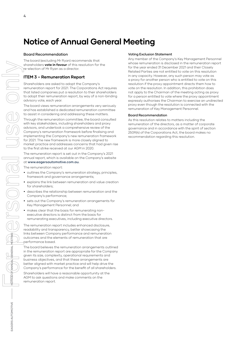## **Notice of Annual General Meeting**

#### Board Recommendation

The board (excluding Mr Ryan) recommends that shareholders **vote in favour** of this resolution for the re-election of Mr Ryan as a director.

#### **ITEM 3 – Remuneration Report**

Shareholders are asked to adopt the Company's remuneration report for 2021. The Corporations Act requires that listed companies put a resolution to their shareholders to adopt their remuneration report, by way of a non-binding advisory vote, each year.

The board views remuneration arrangements very seriously and has established a dedicated remuneration committee to assist in considering and addressing these matters.

Through the remuneration committee, the board consulted with key stakeholders, including shareholders and proxy advisors, and undertook a comprehensive review of the Company's remuneration framework before finalising and implementing the Company's new remuneration framework for 2021. The new framework is more closely aligned to market practice and addresses concerns that had given rise to the first strike received at our AGM in 2020. NOTICE OF ANNUAL GENERAL MEETING For personal use only

The remuneration report is set out in the Company's 2021 annual report, which is available on the Company's website at [www.eagersautomotive.com.au.](http://www.eagersautomotive.com.au)

The remuneration report:

- **•** outlines the Company's remuneration strategy, principles, framework and governance arrangements;
- **•** explains the link between remuneration and value creation for shareholders;
- **•** describes the relationship between remuneration and the Company's performance;
- **•** sets out the Company's remuneration arrangements for Key Management Personnel; and
- **•** makes clear that the basis for remunerating nonexecutive directors is distinct from the basis for remunerating executives, including executive directors.

The remuneration report includes enhanced disclosure, readability and transparency, better showcasing the links between Company performance and remuneration outcomes and the elements of remuneration that are performance based.

The board believes the remuneration arrangements outlined in the remuneration report are appropriate for the Company given its size, complexity, operational requirements and business objectives, and that these arrangements are better aligned with market practice and will help drive the Company's performance for the benefit of all shareholders.

Shareholders will have a reasonable opportunity at the AGM to ask questions and make comments on the remuneration report.

#### Voting Exclusion Statement

Any member of the Company's Key Management Personnel whose remuneration is disclosed in the remuneration report for the year ended 31 December 2021 and their Closely Related Parties are not entitled to vote on this resolution in any capacity. However, any such person may vote as a proxy for another person who is entitled to vote on this resolution if the proxy appointment directs them how to vote on the resolution. In addition, this prohibition does not apply to the Chairman of the meeting acting as proxy for a person entitled to vote where the proxy appointment expressly authorises the Chairman to exercise an undirected proxy even though the resolution is connected with the remuneration of Key Management Personnel.

#### Board Recommendation

As this resolution relates to matters including the remuneration of the directors, as a matter of corporate governance and in accordance with the spirit of section 250R(4) of the Corporations Act, the board makes no recommendation regarding this resolution.

**NOTICE**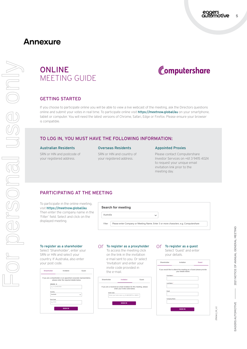## **Annexure**

**4 11 <b>12 12 12 12 12 12 12 12 12 12 12 12 12 12 12 12 12 12 12 12 12 12 12 12 12 12 12 12 12 12 12 12 12 12 12 12** 

**ONLINE** MEETING GUIDE



#### GETTING STARTED

If you choose to participate online you will be able to view a live webcast of the meeting, ask the Directors questions online and submit your votes in real time. To participate online visit https://meetnow.global/au on your smartphone, tablet or computer. You will need the latest versions of Chrome, Safari, Edge or Firefox. Please ensure your browser is compatible.

#### TO LOG IN, YOU MUST HAVE THE FOLLOWING INFORMATION:

#### Australian Residents

SRN or HIN and postcode of your registered address.

#### Overseas Residents

SRN or HIN and country of your registered address.

#### Appointed Proxies

Please contact Computershare Investor Services on +61 3 9415 4024 to request your unique email invitation link prior to the meeting day.

#### PARTICIPATING AT THE MEETING

To participate in the online meeting, visit https://meetnow.global/au. Then enter the company name in the 'Filter' field. Select and click on the displayed meeting.

## **Search for meeting** Australia  $\ddot{\phantom{0}}$ Filter Please enter Company or Meeting Name. Enter 3 or more characters. e.g. Computershare

#### To register as a shareholder

Select 'Shareholder', enter your SRN or HIN and select your country. If Australia, also enter your post code.

| Shareholder     | Invitation                                                                                                     | Guest       |
|-----------------|----------------------------------------------------------------------------------------------------------------|-------------|
|                 | If you are a shareholder or an appointed corporate representative,<br>please enter the required details below. |             |
| SRN/HIN @       |                                                                                                                |             |
| eg. X1234567890 |                                                                                                                |             |
| Country         |                                                                                                                |             |
| Australia       |                                                                                                                | $\check{ }$ |
| Post Code       |                                                                                                                |             |
| eg. 0123        |                                                                                                                |             |
|                 | <b>SIGN IN</b>                                                                                                 |             |

#### $\bigcirc$  To register as a proxyholder  $\bigcirc$  To register as a guest

To access the meeting click on the link in the invitation e-mail sent to you. Or select 'Invitation' and enter your invite code provided in the e-mail.



### Select 'Guest' and enter

your details.

| Shareholder  | Invitation                                                                               | Guest |
|--------------|------------------------------------------------------------------------------------------|-------|
|              | If you would like to attend the meeting as a Guest please provide<br>your details below. |       |
| First Name * |                                                                                          |       |
| Last Name *  |                                                                                          |       |
| Email        |                                                                                          |       |
|              | Company Name                                                                             |       |
|              | <b>SIGN IN</b>                                                                           |       |
|              |                                                                                          |       |

278060\_09\_V2

278060\_09\_V2

EAGERS AUTOMOTIVE

EAGERS AUTOMOTIVE

— 2021 NOTICE OF ANNUAL GENERAL MEETING

2021 NOTICE OF ANNUAL GENERAL MEETING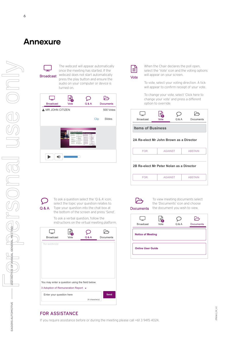## **Annexure**

**Broadcast** 

The webcast will appear automatically once the meeting has started. If the webcast does not start automatically press the play button and ensure the audio on your computer or device is turned on.





When the Chair declares the poll open, select the 'Vote' icon and the voting options will appear on your screen.

To vote, select your voting direction. A tick will appear to confirm receipt of your vote.

To change your vote, select 'Click here to change your vote' and press a different option to override.





To ask a question select the 'Q & A' icon, select the topic your question relates to. Type your question into the chat box at the bottom of the screen and press 'Send'.

To ask a verbal question, follow the instructions on the virtual meeting platform.

| <b>Broadcast</b>                                | Vote | Q & A           | Documents   |
|-------------------------------------------------|------|-----------------|-------------|
| Your questions(s)                               |      |                 |             |
|                                                 |      |                 |             |
|                                                 |      |                 |             |
| You may enter a question using the field below. |      |                 |             |
| 3 Adoption of Remuneration Report ▼             |      |                 |             |
| Enter your question here                        |      |                 | <b>Send</b> |
|                                                 |      | 24 character(s) |             |



To view meeting documents select the 'Documents' icon and choose the document you wish to view.



#### FOR ASSISTANCE

If you require assistance before or during the meeting please call +61 3 9415 4024.

— 2021 NOTICE OF ANNUAL GENERAL MEETING

PORT NOTICE OF ANNUAL GENERAL MEETING

For personal use only

**IRDUS** 

Milo Se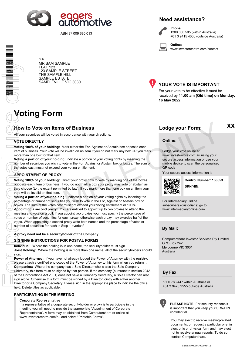

ABN 87 009 680 013

#### **Need assistance?**

**Phone:**

1300 850 505 (within Australia) +61 3 9415 4000 (outside Australia)

**Online:** www.investorcentre.com/contact

APE MR SAM SAMPLE FLAT 123 123 SAMPLE STREET THE SAMPLE HILL SAMPLE ESTATE SAMPLEVILLE VIC 3030



#### **YOUR VOTE IS IMPORTANT**

For your vote to be effective it must be received by **11:00 am (Qld time) on Monday, 16 May 2022.**

## **Voting Form**

#### **How to Vote on Items of Business Lodge your Form:**

All your securities will be voted in accordance with your directions.

#### **VOTE DIRECTLY**

**Voting 100% of your holding:** Mark either the For, Against or Abstain box opposite each item of business. Your vote will be invalid on an item if you do not mark any box OR you mark more than one box for that item.

**Voting a portion of your holding:** Indicate a portion of your voting rights by inserting the number of securities you wish to vote in the For, Against or Abstain box or boxes. The sum of the votes cast must not exceed your voting entitlement.

#### **APPOINTMENT OF PROXY**

**Voting 100% of your holding:** Direct your proxy how to vote by marking one of the boxes opposite each item of business. If you do not mark a box your proxy may vote or abstain as they choose (to the extent permitted by law). If you mark more than one box on an item your vote will be invalid on that item.

**Voting a portion of your holding:** Indicate a portion of your voting rights by inserting the percentage or number of securities you wish to vote in the For, Against or Abstain box or boxes. The sum of the votes cast must not exceed your voting entitlement or 100%. **Appointing a second proxy:** You are entitled to appoint up to two proxies to attend the meeting and vote on a poll. If you appoint two proxies you must specify the percentage of votes or number of securities for each proxy, otherwise each proxy may exercise half of the votes. When appointing a second proxy write both names and the percentage of votes or number of securities for each in Step 1 overleaf. **to Vote on Items of Business**<br>
securities will be voted in accordance with your directions.<br>
DIRECTLY<br>
100% of your holding: Mark either the For. Against or Abstain box opposite each<br>
business: Your vote with the involut

#### **A proxy need not be a securityholder of the Company.**

#### **SIGNING INSTRUCTIONS FOR POSTAL FORMS**

**Individual:** Where the holding is in one name, the securityholder must sign. **Joint Holding:** Where the holding is in more than one name, all of the securityholders should sign.

**Power of Attorney:** If you have not already lodged the Power of Attorney with the registry, please attach a certified photocopy of the Power of Attorney to this form when you return it. **Companies:** Where the company has a Sole Director who is also the Sole Company Secretary, this form must be signed by that person. If the company (pursuant to section 204A of the Corporations Act 2001) does not have a Company Secretary, a Sole Director can also sign alone. Otherwise this form must be signed by a Director jointly with either another Director or a Company Secretary. Please sign in the appropriate place to indicate the office held. Delete titles as applicable.

#### **PARTICIPATING IN THE MEETING**

#### **Corporate Representative**

If a representative of a corporate securityholder or proxy is to participate in the meeting you will need to provide the appropriate "Appointment of Corporate Representative". A form may be obtained from Computershare or online at www.investorcentre.com/au and select "Printable Forms".

**XX**

#### **Online:**

Lodge your vote online at

www.investorvote.com.au using your secure access information or use your mobile device to scan the personalised QR code.

Your secure access information is



**SRN/HIN: Control Number: 136653**

For Intermediary Online subscribers (custodians) go to www.intermediaryonline.com

**By Mail:**

Computershare Investor Services Pty Limited GPO Box 242 Melbourne VIC 3001 Australia

**By Fax:**

1800 783 447 within Australia or +61 3 9473 2555 outside Australia



**PLEASE NOTE:** For security reasons it is important that you keep your SRN/HIN confidential.

You may elect to receive meeting-related documents, or request a particular one, in electronic or physical form and may elect not to receive annual reports. To do so, contact Computershare.